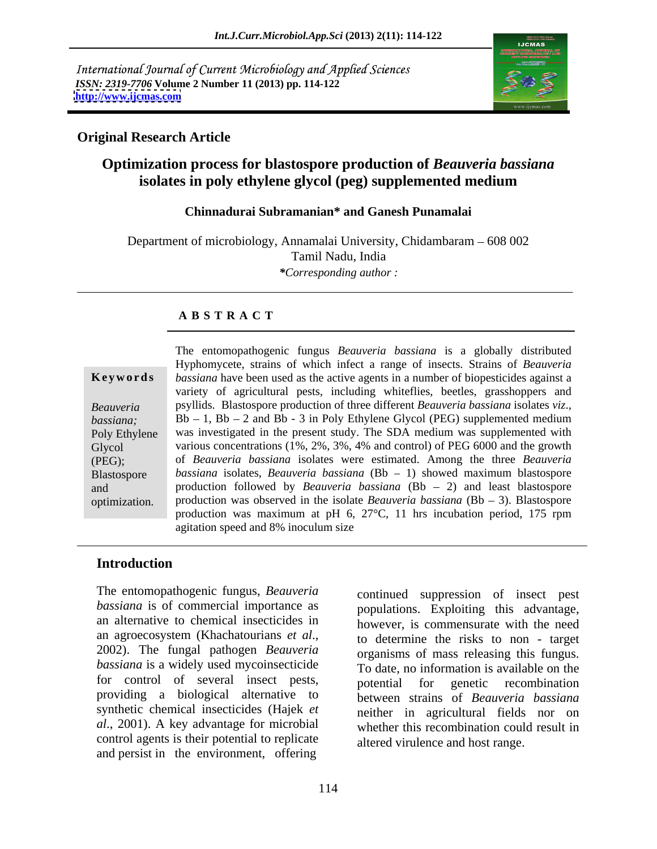International Journal of Current Microbiology and Applied Sciences *ISSN: 2319-7706* **Volume 2 Number 11 (2013) pp. 114-122 <http://www.ijcmas.com>**



# **Original Research Article**

# **Optimization process for blastospore production of** *Beauveria bassiana*  **isolates in poly ethylene glycol (peg) supplemented medium**

## **Chinnadurai Subramanian\* and Ganesh Punamalai**

Department of microbiology, Annamalai University, Chidambaram – 608 002 Tamil Nadu, India *\*Corresponding author :*

# **A B S T R A C T**

**Ke ywo rds** *bassiana* have been used as the active agents in a number of biopesticides against a *Beauveria psyllids.* Blastospore production of three different *Beauveria bassiana* isolates *viz.*, *bassiana*: Bb – 1, Bb – 2 and Bb - 3 in Poly Ethylene Glycol (PEG) supplemented medium Poly Ethylene was investigated in the present study. The SDA medium was supplemented with Glycol various concentrations (1%, 2%, 3%, 4% and control) of PEG 6000 and the growth (PEG); of *Beauveria bassiana* isolates were estimated. Among the three *Beauveria*  Blastospore bassiana isolates, *Beauveria bassiana* (Bb - 1) showed maximum blastospore and production followed by *Beauveria bassiana* (Bb 2) and least blastospore optimization. production was observed in the isolate *Beauveria bassiana* (Bb - 3). Blastospore The entomopathogenic fungus *Beauveria bassiana* is a globally distributed Hyphomycete, strains of which infect a range of insects. Strains of *Beauveria*  variety of agricultural pests, including whiteflies, beetles, grasshoppers and psyllids.Blastospore production of three different *Beauveria bassiana* isolates *viz*., Bb 1, Bb <sup>2</sup> and Bb - <sup>3</sup> in Poly Ethylene Glycol (PEG) supplemented medium production was maximum at pH 6, 27°C, 11 hrs incubation period, 175 rpm agitation speed and 8% inoculum size

# **Introduction**

The entomopathogenic fungus, *Beauveria*  an alternative to chemical insecticides in *bassiana* is a widely used mycoinsecticide for control of several insect pests, potential for genetic recombination providing a biological alternative to synthetic chemical insecticides (Hajek *et*  control agents is their potential to replicate and persist in the environment, offering

*bassiana* is of commercial importance as populations. Exploiting this advantage, an agroecosystem (Khachatourians *et al*., 2002). The fungal pathogen *Beauveria al*., 2001). A key advantage for microbial whether this recombination could result in continued suppression of insect pest however, is commensurate with the need to determine the risks to non - target organisms of mass releasing this fungus. To date, no information is available on the potential for genetic recombination between strains of *Beauveria bassiana* neither in agricultural fields nor on altered virulence and host range.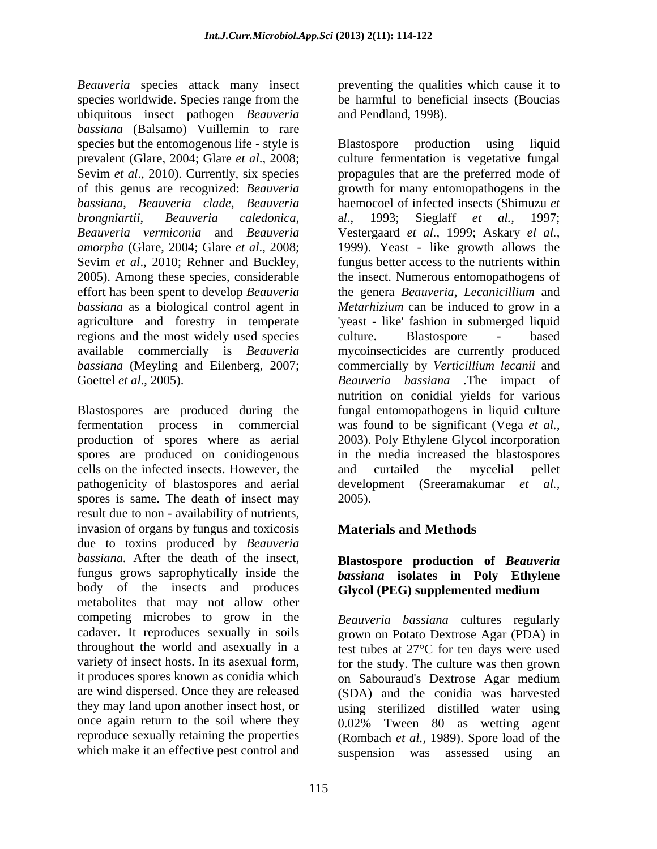*Beauveria* species attack many insect species worldwide. Species range from the ubiquitous insect pathogen *Beauveria bassiana* (Balsamo) Vuillemin to rare species but the entomogenous life - style is Blastospore production using liquid regions and the most widely used species culture. Blastospore - based

cells on the infected insects. However, the and curtailed the mycelial pellet spores is same. The death of insect may 2005). result due to non - availability of nutrients, invasion of organs by fungus and toxicosis **Materials and Methods** due to toxins produced by *Beauveria bassiana.* After the death of the insect, fungus grows saprophytically inside the body of the insects and produces Glycol (PEG) supplemented medium metabolites that may not allow other competing microbes to grow in the cadaver. It reproduces sexually in soils grown on Potato Dextrose Agar (PDA) in throughout the world and asexually in a test tubes at 27°C for ten days were used variety of insect hosts. In its asexual form, for the study. The culture was then grown it produces spores known as conidia which on Sabouraud's Dextrose Agar medium are wind dispersed. Once they are released (SDA) and the conidia was harvested they may land upon another insect host, or once again return to the soil where they 0.02% Tween 80 as wetting agent reproduce sexually retaining the properties (Rombach *et al.,* 1989). Spore load of the which make it an effective pest control and suspension was assessed using an

preventing the qualities which cause it to be harmful to beneficial insects (Boucias and Pendland, 1998).

prevalent (Glare, 2004; Glare *et al*., 2008; culture fermentation is vegetative fungal Sevim *et al.*, 2010). Currently, six species propagules that are the preferred mode of of this genus are recognized: *Beauveria* growth for many entomopathogens in the *bassiana*, *Beauveria clade*, *Beauveria* haemocoel of infected insects (Shimuzu *et brongniartii*, *Beauveria caledonica*, *Beauveria vermiconia* and *Beauveria* Vestergaard *et al.,* 1999; Askary *el al., amorpha* (Glare, 2004; Glare *et al*., 2008; 1999). Yeast - like growth allows the Sevim *et al*., 2010; Rehner and Buckley, fungus better access to the nutrients within 2005). Among these species, considerable the insect. Numerous entomopathogens of effort has been spent to develop *Beauveria* the genera *Beauveria, Lecanicillium* and *bassiana* as a biological control agent in *Metarhizium* can be induced to grow in a agriculture and forestry in temperate 'yeast - like' fashion in submerged liquid available commercially is *Beauveria* mycoinsecticides are currently produced *bassiana* (Meyling and Eilenberg, 2007; commercially by *Verticillium lecanii* and Goettel *et al*., 2005). *Beauveria bassiana .*The impact of Blastospores are produced during the fungal entomopathogens in liquid culture fermentation process in commercial was found to be significant (Vega *et al.,* production of spores where as aerial 2003). Poly Ethylene Glycol incorporation spores are produced on conidiogenous in the media increased the blastospores pathogenicity of blastospores and aerial development (Sreeramakumar *et al.,* Blastospore production using a*l*., 1993; Sieglaff *et al.,* 1997; culture. Blastospore - based nutrition on conidial yields for various and curtailed the mycelial pellet 2005).

# **Materials and Methods**

# **Blastospore production of** *Beauveria bassiana* **isolates in Poly Ethylene Glycol (PEG) supplemented medium**

*Beauveria bassiana* cultures regularly on Sabouraud's Dextrose Agar medium using sterilized distilled water using suspension was assessed using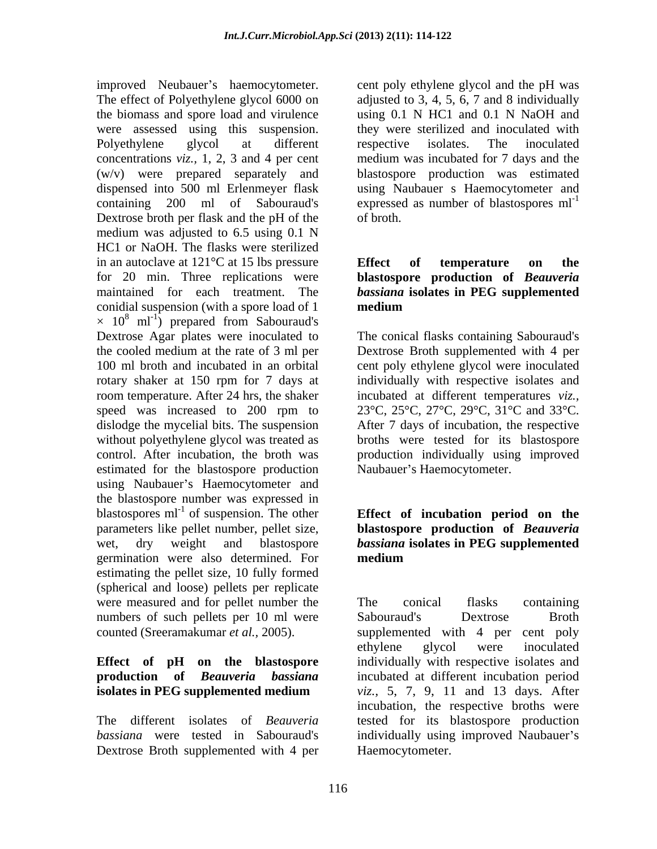improved Neubauer's haemocytometer. cent poly ethylene glycol and the pH was The effect of Polyethylene glycol 6000 on adjusted to 3, 4, 5, 6, 7 and 8 individually the biomass and spore load and virulence using 0.1 N HC1 and 0.1 N NaOH and were assessed using this suspension. they were sterilized and inoculated with Polyethylene glycol at different respective isolates. The inoculated concentrations *viz.,* 1, 2, 3 and 4 per cent (w/v) were prepared separately and blastospore production was estimated dispensed into 500 ml Erlenmeyer flask using Naubauer s Haemocytometer and containing 200 ml of Sabouraud's expressed as number of blastospores ml<sup>-1</sup> Dextrose broth per flask and the pH of the of broth. medium was adjusted to 6.5 using 0.1 N HC1 or NaOH. The flasks were sterilized in an autoclave at  $121^{\circ}$ C at 15 lbs pressure **Effect** of **temperature** on the for 20 min. Three replications were **blastospore production of** *Beauveria*  maintained for each treatment. The *bassiana* isolates in PEG supplemented conidial suspension (with a spore load of 1 medium  $\times$  10<sup>8</sup> ml<sup>-1</sup>) prepared from Sabouraud's ) prepared from Sabouraud's Dextrose Agar plates were inoculated to The conical flasks containing Sabouraud's the cooled medium at the rate of 3 ml per Dextrose Broth supplemented with 4 per 100 ml broth and incubated in an orbital cent poly ethylene glycol were inoculated rotary shaker at 150 rpm for 7 days at room temperature. After 24 hrs, the shaker incubated at different temperatures *viz.,*  speed was increased to 200 rpm to  $23^{\circ}C$ ,  $25^{\circ}C$ ,  $27^{\circ}C$ ,  $29^{\circ}C$ ,  $31^{\circ}C$  and  $33^{\circ}C$ . dislodge the mycelial bits. The suspension After 7 days of incubation, the respective without polyethylene glycol was treated as broths were tested for its blastospore control. After incubation, the broth was production individually using improved estimated for the blastospore production using Naubauer's Haemocytometer and the blastospore number was expressed in blastospores  $ml^{-1}$  of suspension. The other parameters like pellet number, pellet size, **blastospore production of** *Beauveria* wet, dry weight and blastospore *bassiana* **isolates in PEG supplemented** germination were also determined. For **medium** estimating the pellet size, 10 fully formed (spherical and loose) pellets per replicate were measured and for pellet number the The conical flasks containing numbers of such pellets per 10 ml were Sabouraud's Dextrose Broth

Dextrose Broth supplemented with 4 per

respective isolates. The inoculated medium was incubated for 7 days and the of broth.

# **Effect of temperature on the** *bassiana* **isolates in PEG supplemented medium**

individually with respective isolates and 23°C, 25°C, 27°C, 29°C, 31°C and 33°C. Naubauer's Haemocytometer.

# of suspension. The other **Effect of incubation period on the medium**

counted (Sreeramakumar *et al.,* 2005). supplemented with 4 per cent poly **Effect of pH on the blastospore** individually with respective isolates and **production of** *Beauveria bassiana*  incubated at different incubation period **isolates in PEG supplemented medium** *viz.*, 5, 7, 9, 11 and 13 days. After The different isolates of *Beauveria* tested for its blastospore production bassiana were tested in Sabouraud's individually using improved Naubauer's The conical flasks containing Sabouraud's Dextrose Broth ethylene glycol were inoculated *viz.,* 5, 7, 9, 11 and 13 days. After incubation, the respective broths were Haemocytometer.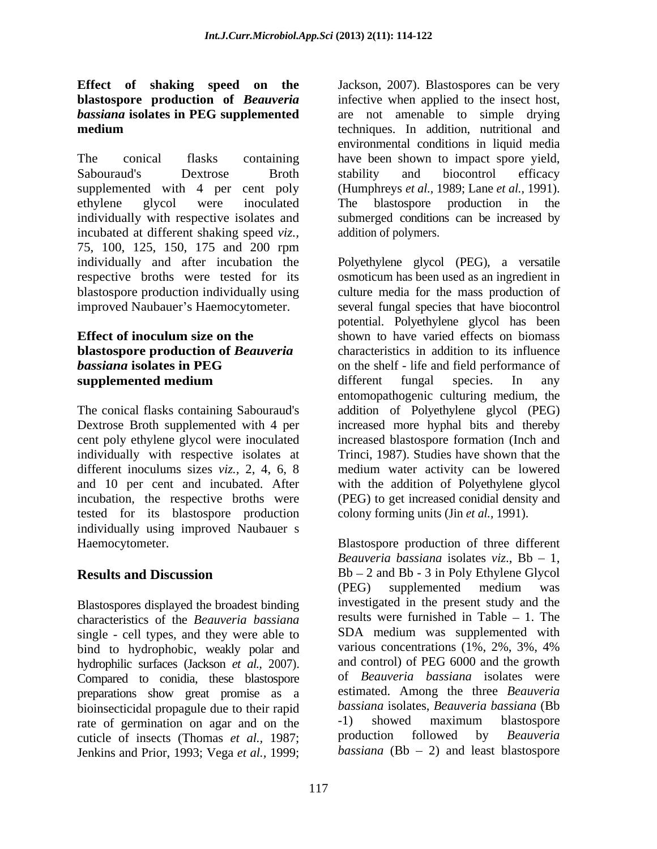# **Effect of shaking speed on the** *bassiana* **isolates in PEG supplemented**

The conical flasks containing have been shown to impact spore yield, Sabouraud's Dextrose Broth stability and biocontrol efficacy supplemented with 4 per cent poly (Humphreys *et al.,* 1989; Lane *et al.,* 1991). ethylene glycol were inoculated individually with respective isolates and incubated at different shaking speed *viz.,*  75, 100, 125, 150, 175 and 200 rpm individually and after incubation the Polyethylene glycol (PEG), a versatile respective broths were tested for its osmoticum has been used as an ingredient in blastospore production individually using

tested for its blastospore production individually using improved Naubauer s

Blastospores displayed the broadest binding characteristics of the *Beauveria bassiana* single - cell types, and they were able to SDA medium was supplemented with hind to hydrophobic weakly polar and various concentrations (1%, 2%, 3%, 4%) bind to hydrophobic, weakly polar and hydrophilic surfaces (Jackson *et al.,* 2007). Compared to conidia, these blastospore preparations show great promise as a bioinsecticidal propagule due to their rapid bassiana isolates, Beauveria bassiana (Bb<br>rate of germination on agar and on the  $-1$ ) showed maximum blastospore rate of germination on agar and on the  $-1$ ) showed maximum blastospore<br>cuticle of insects (Thomas *et al* 1987) production followed by *Beauveria* cuticle of insects (Thomas *et al.,* 1987; Jenkins and Prior, 1993; Vega *et al.,* 1999;

**blastospore production of** *Beauveria*  infective when applied to the insect host, **medium** techniques. In addition, nutritional and Jackson, 2007). Blastospores can be very are not amenable to simple drying environmental conditions in liquid media stability and biocontrol efficacy The blastospore production in the submerged conditions can be increased by addition of polymers.

improved Naubauer's Haemocytometer. Several fungal species that have biocontrol **Effect of inoculum size on the** shown to have varied effects on biomass **blastospore production of** *Beauveria* characteristics in addition to its influence *bassiana* **isolates in PEG** on the shelf - life and field performance of **supplemented medium** different fungal species. In any The conical flasks containing Sabouraud's addition of Polyethylene glycol (PEG) Dextrose Broth supplemented with 4 per increased more hyphal bits and thereby cent poly ethylene glycol were inoculated increased blastospore formation (Inch and individually with respective isolates at Trinci, 1987). Studies have shown that the different inoculums sizes *viz.,* 2, 4, 6, 8 medium water activity can be lowered and 10 per cent and incubated. After with the addition of Polyethylene glycol incubation, the respective broths were (PEG) to get increased conidial density and culture media for the mass production of potential. Polyethylene glycol has been different fungal species. In any entomopathogenic culturing medium, the colony forming units (Jin *et al.,* 1991).

Haemocytometer. Blastospore production of three different **Results and Discussion** Bb - 2 and Bb - 3 in Poly Ethylene Glycol *Beauveria bassiana* isolates *viz.*,  $Bb - 1$ , (PEG) supplemented medium was investigated in the present study and the results were furnished in Table  $-1$ . The SDA medium was supplemented with various concentrations (1%, 2%, 3%, 4% and control) of PEG 6000 and the growth of *Beauveria bassiana* isolates were estimated. Among the three *Beauveria bassiana* isolates, *Beauveria bassiana* (Bb -1) showed maximum blastospore production followed by *Beauveria bassiana* ( $Bb - 2$ ) and least blastospore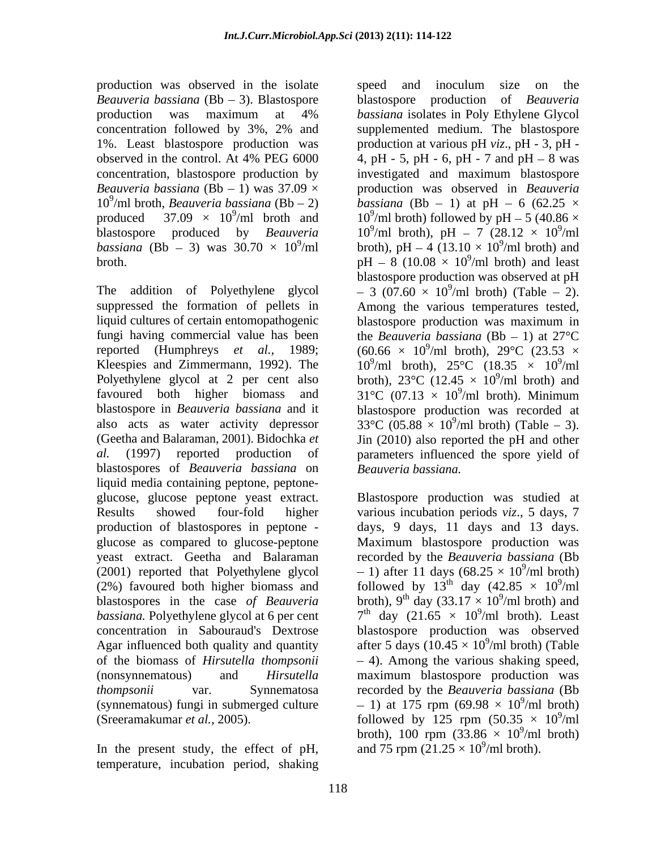production was observed in the isolate speed and inoculum size on the *Beauveria bassiana* (Bb – 3). Blastospore blastospore production of *Beauveria bassiana* (Bb - 3) was  $30.70 \times 10^9$ /ml

liquid cultures of certain entomopathogenic blastospore production was maximum in blastospores of *Beauveria bassiana* on liquid media containing peptone, peptone glucose, glucose peptone yeast extract. Blastospore production was studied at Results showed four-fold higher various incubation periods *viz*., 5 days, 7 production of blastospores in peptone - days, 9 days, 11 days and 13 days. glucose as compared to glucose-peptone Maximum blastospore production was yeast extract. Geetha and Balaraman recorded by the *Beauveria bassiana* (Bb (2001) reported that Polyethylene glycol (2%) favoured both higher biomass and followed by  $13^{\text{th}}$  day (42.85  $\times$  10<sup>9</sup>/ml blastospores in the case of *Beauveria* broth), 9<sup>th</sup> day  $(33.17 \times 10^9/\text{ml}$  broth) and *bassiana*. Polyethylene glycol at 6 per cent  $7<sup>th</sup>$  day  $(21.65 \times 10<sup>9</sup>/ml$  broth). Least concentration in Sabouraud's Dextrose blastospore production was observed Agar influenced both quality and quantity after 5 days  $(10.45 \times 10^9/\text{ml}$  broth) (Table of the biomass of *Hirsutella thompsonii* 4). Among the various shaking speed, (nonsynnematous) and *Hirsutella*  maximum blastospore production was *thompsonii* var. Synnematosa recorded by the *Beauveria bassiana* (Bb (synnematous) fungi in submerged culture  $-1$ ) at 175 rpm (69.98  $\times$  10<sup>9</sup>/ml broth) (Sreeramakumar *et al.*, 2005).  $\qquad \qquad$  followed by 125 rpm  $(50.35 \times 10^9/\text{ml})$ 

In the present study, the effect of pH, temperature, incubation period, shaking

production was maximum at 4% *bassiana* isolates in Poly Ethylene Glycol concentration followed by 3%, 2% and 1%. Least blastospore production was production at various pH *viz*., pH - 3, pH observed in the control. At 4% PEG  $6000$  4, pH - 5, pH - 6, pH - 7 and pH - 8 was concentration, blastospore production by investigated and maximum blastospore *Beauveria bassiana* (Bb  $-1$ ) was 37.09  $\times$  production was observed in *Beauveria*  $10^9$ /ml broth, *Beauveria bassiana* (Bb - 2) *bassiana* (Bb - 1) at pH - 6 (62.25  $\times$ produced 37.09  $\times$  10<sup>9</sup>/ml broth and 10<sup>9</sup>/ml broth) followed by pH – 5 (40.86  $\times$ blastospore produced by *Beauveria* 10<sup>9</sup>/ml broth), pH – 7 (28.12  $\times$  10<sup>9</sup>/ml  $^{9}$ /ml broth), pH – 4 (13.10  $\times$  10<sup>9</sup>/ml broth) and broth.  $pH - 8$  (10.08  $\times$  10<sup>9</sup>/ml broth) and least The addition of Polyethylene glycol  $-3(07.60 \times 10^9/\text{ml}$  broth) (Table - 2). suppressed the formation of pellets in Among the various temperatures tested, fungi having commercial value has been the *Beauveria bassiana*  $(Bb - 1)$  at  $27^{\circ}$ C reported (Humphreys *et al.*, 1989;  $(60.66 \times 10^9/\text{ml} \text{ broth}), 29^{\circ}\text{C}$   $(23.53 \times$ Kleespies and Zimmermann, 1992). The  $10^9$ /ml broth),  $25^{\circ}$ C (18.35  $\times$  10<sup>9</sup>/ml Polyethylene glycol at 2 per cent also broth),  $23^{\circ}$ C (12.45  $\times$  10<sup>9</sup>/ml broth) and favoured both higher biomass and  $31^{\circ}C$  (07.13  $\times$  10<sup>9</sup>/ml broth). Minimum blastospore in *Beauveria bassiana* and it blastospore production was recorded at also acts as water activity depressor  $33^{\circ}$ C (05.88  $\times$  10<sup>9</sup>/ml broth) (Table – 3). (Geetha and Balaraman, 2001). Bidochka *et*  Jin (2010) also reported the pH and other *al.* (1997) reported production of parameters influenced the spore yield of speed and inoculum size on the blastospore production of *bassiana* isolates in Poly Ethylene Glycol supplemented medium. The blastospore 4, pH - 5, pH - 6, pH - 7 and pH  $-$  8 was  $9/m1$ /ml  $^{9}$ /ml broth) and /ml broth) and  $9/ml$  broth) and loogt /ml broth) and least blastospore production was observed at pH blastospore production was maximum in /ml broth),  $29^{\circ}$ C (23.53  $\times$  $9/m1$ /ml  $9/ml$  broth) and /ml broth) and  $9/ml$  broth) Minimum /ml broth). Minimum *Beauveria bassiana.*

> $-1$ ) after 11 days (68.25  $\times$  10<sup>9</sup>/ml broth)  $9/m1$  broth) /ml broth)  $9/m1$ /ml  $9/m1$  broth) and /ml broth) and  $9/ml$  broth) Loost  $9/m1$  broth) (Toblo 1) at 175 rpm (69.98  $\times$  10<sup>9</sup>/ml broth)  $9/m1$  broth) /ml broth)  $9/m1$ /ml broth), 100 rpm  $(33.86 \times 10^9/\text{ml}$  broth)  $9/m1$  broth) /ml broth) and 75 rpm  $(21.25 \times 10^9/\text{ml} \text{ broth}).$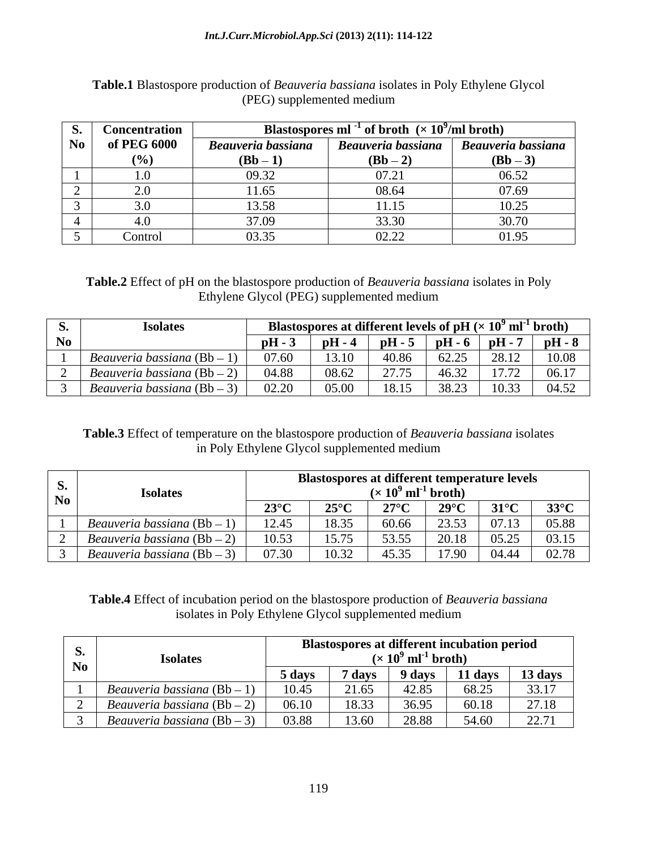## *Int.J.Curr.Microbiol.App.Sci* **(2013) 2(11): 114-122**

|    | <b>Concentration</b> |                    | Blastospores ml <sup>-1</sup> of broth ( $\times$ 10 <sup>9</sup> /ml broth) |                    |
|----|----------------------|--------------------|------------------------------------------------------------------------------|--------------------|
| No | of PEG 6000          | Beauveria bassiana | Beauveria bassiana                                                           | Beauveria bassiana |
|    | $(%^{(0)})(\theta)$  | $(Bb-1)$           | $(Bb-2)$                                                                     | $(Bb-3)$           |
|    |                      | 09.32              | 07.21<br>U ⊥.∠ J                                                             | 06.52              |
|    | ້⊷                   | 11.65              | 08.64                                                                        | 07.69              |
|    |                      | 13.58              | 11.15                                                                        | 10.25              |
|    |                      | 37.09              | 33.30                                                                        | 30.70              |
|    | Control              | 03.35              | 02.22                                                                        | 01.95              |

# **Table.1** Blastospore production of *Beauveria bassiana* isolates in Poly Ethylene Glycol (PEG) supplemented medium

**Table.2** Effect of pH on the blastospore production of *Beauveria bassiana* isolates in Poly Ethylene Glycol (PEG) supplemented medium

| ັບ  | <b>Isolates</b>                    |       | Blastospores at different levels of pH $(x)$ |                                    |                   | ΤÛ             | $^9$ ml <sup>-1</sup> broth) |
|-----|------------------------------------|-------|----------------------------------------------|------------------------------------|-------------------|----------------|------------------------------|
| No. |                                    | pH-   | $-$<br>– oH – ″                              | $pH -$                             | pH                | $pH -$         | $pH - 8$                     |
|     | Beauveria bassiana (Bb -           | 07.60 | 1010<br>19.19                                | 40.86                              | 62.25             | 28.12<br>20.12 | 10.08                        |
|     | Beauveria bassiana (Bb $ \infty$ ) | 04.88 | 08.62                                        | $\Delta \Box \Box \Box$<br>ن ن ا ک | $1 - 22$<br>`∪.J∠ | 1777<br>17.72  | 06.17                        |
|     | Beauveria bassiana (Bb –           | 02.20 | 05.00                                        | 18.15                              | 3823<br>JU.Z.     | 10.33          | 04.52                        |

**Table.3** Effect of temperature on the blastospore production of *Beauveria bassiana* isolates in Poly Ethylene Glycol supplemented medium

|      | <b>Isolates</b>                 |                | Blastospores at different temperature levels | $(\times 10^9 \text{ ml}^{-1} \text{ broth})$ |                |               |                |
|------|---------------------------------|----------------|----------------------------------------------|-----------------------------------------------|----------------|---------------|----------------|
| No - |                                 | $23^{\circ}$ C | $25^{\circ}$ C                               | 270C<br>21 V                                  | $29^{\circ}$ C | $31^{\circ}C$ | $33^{\circ}$ C |
|      | auveria bassiana (Bb –          | 12.45          | 18.35                                        | 60.66                                         | 23.53          | 07.13         | 05.88          |
|      | <i>eauveria bassiana</i> (Bb –  | 10.53          | 15.75                                        | 53.55                                         | 20.18          | 05.25         | 03.15          |
|      | $(Bb -$<br>eauveria bassiana (P | 07.30          | 10.32<br>- - - - -                           | 45.35<br>$\cdot\cdot\cdot\cdot$               | 17.90          | 04.44         | 02.78          |

**Table.4** Effect of incubation period on the blastospore production of *Beauveria bassiana* isolates in Poly Ethylene Glycol supplemented medium

| <u>、</u> | <b>Isolates</b>             | <b>Blastospores at different incubation period</b><br>$(x 10^9 \text{ ml}^{-1} \text{ broth})$ |                   |                 |         |                  |  |  |  |  |  |
|----------|-----------------------------|------------------------------------------------------------------------------------------------|-------------------|-----------------|---------|------------------|--|--|--|--|--|
| No       |                             | - 1<br>5 davs                                                                                  | <sup>7</sup> days | 9 days          | 11 days | 13 days          |  |  |  |  |  |
|          | Beauveria bassiana (Bb – 1  | 10.45                                                                                          | 21.65             | 12 Q S<br>72.OJ | 68.25   | 33.17            |  |  |  |  |  |
|          | Beauveria bassiana (Bb $-2$ | 06.10                                                                                          | 18.33             | 36.05<br>JU.    | 60.18   | 27.18            |  |  |  |  |  |
|          | Beauveria bassiana (Bb –    | 03.88                                                                                          | 13.60             | 28.88           | 54.60   | $\Omega$<br>22.1 |  |  |  |  |  |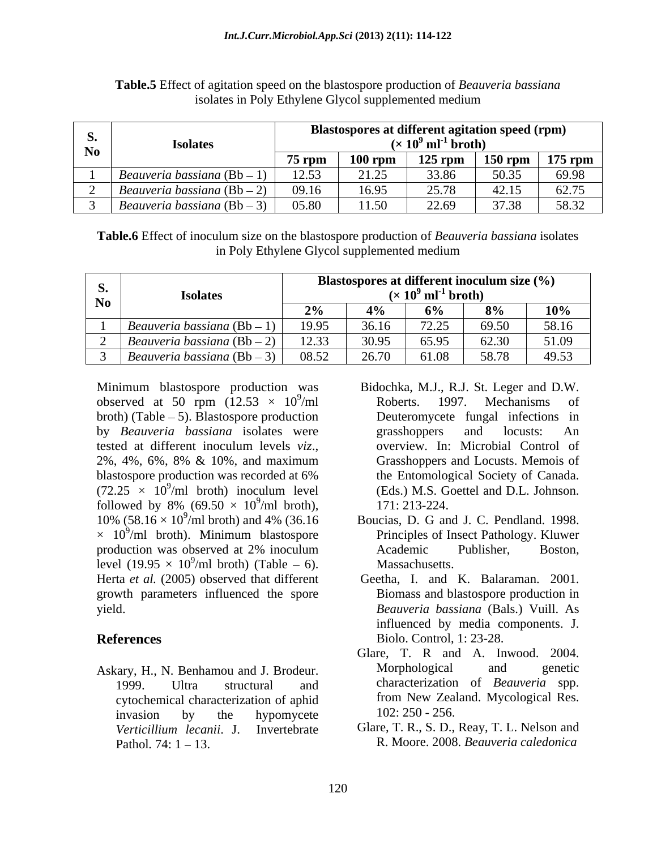|      | <b>Isolate:</b>              |          | Blastospores at different agitation speed (rpm) | $\times$ 10 <sup>9</sup> ml <sup>-1</sup> broth) |       |                     |
|------|------------------------------|----------|-------------------------------------------------|--------------------------------------------------|-------|---------------------|
| N0 - |                              | $75$ rpm | $100$ rpm                                       | $125$ rpm                                        |       | $150$ rpm $175$ rpm |
|      | uveria bassiana (Bb -        |          |                                                 | 33.86                                            | 50.35 | 69.98               |
|      | uweria bassiana (Bb –        | -09.16   | 16 Q5.                                          | $\Delta \epsilon$ 70                             | 42.15 | $\epsilon$ 2.75     |
|      | Beauveria bassiana (Bb $-$ 3 | -05.80   |                                                 | 22.60<br>44.UJ                                   | 27.20 | 58.37               |

**Table.5** Effect of agitation speed on the blastospore production of *Beauveria bassiana* isolates in Poly Ethylene Glycol supplemented medium

**Table.6** Effect of inoculum size on the blastospore production of *Beauveria bassiana* isolates in Poly Ethylene Glycol supplemented medium

| <b>Isolates</b>                         |       | Blastospores at different inoculum size $(\%)$<br>$(\times 10^9 \text{ ml}^{-1} \text{ broth})$ |                |                 |  |
|-----------------------------------------|-------|-------------------------------------------------------------------------------------------------|----------------|-----------------|--|
| Beauveria bassiana $(Bb-1)$   19.95     |       |                                                                                                 | $8\%$<br>69.50 | $10\%$<br>58.16 |  |
| $\degree$   Beauveria bassiana (Bb – 2) | 12.22 |                                                                                                 | 62.30          | 51.09           |  |
| Beauveria bassiana $(Bb-3)$             | 08.52 |                                                                                                 | 58.78          | 49.53           |  |

Minimum blastospore production was observed at 50 rpm  $(12.53 \times 10^9/\text{ml})$  Roberts. 1997. Mechanisms of  $b$ roth) (Table  $-5$ ). Blastospore production by *Beauveria bassiana* isolates were tested at different inoculum levels *viz*., overview. In: Microbial Control of 2%, 4%, 6%, 8% & 10%, and maximum Grasshoppers and Locusts. Memois of blastospore production was recorded at 6%  $(72.25 \times 10^9/\text{ml}$  broth) inoculum level followed by 8% (69.50  $\times$  10<sup>9</sup>/ml broth), 171: 213-224. 10% (58.16  $\times$  10<sup>9</sup>/ml broth) and 4% (36.16  $\times$  10<sup>9</sup>/ml broth). Minimum blastospore Principles of Insect Pathology. Kluwer production was observed at 2% inoculum level  $(19.95 \times 10^9/\text{ml}$  broth) (Table – 6). Massachusetts. Herta *et al.* (2005) observed that different growth parameters influenced the spore

cytochemical characterization of aphid invasion by the hypomycete  $102: 250 - 256$ . Pathol*.* 74: 1 13. R. Moore. 2008. *Beauveria caledonica*

- $\frac{9}{2}$ ml Roberts 1007 Mochanisms of /ml Roberts. 1997. Mechanisms of  $9/$ ml broth) inoculum level (Eds.) M.S. Goettel and D.L. Johnson. /ml broth) inoculum level (Eds.) M.S. Goettel and D.L. Johnson.  $^{9}$ /ml broth) 171. 212. 224  $\mu$  /ml broth),  $171: 213-224$ . Bidochka, M.J., R.J. St. Leger and D.W. Roberts. 1997. Mechanisms of Deuteromycete fungal infections in grasshoppers and locusts: An overview. In: Microbial Control of Grasshoppers and Locusts. Memois of the Entomological Society of Canada. 171: 213-224.
- /ml broth) and 4% (36.16 Boucias, D. G and J. C. Pendland. 1998. /ml broth). Minimum blastospore Principles of Insect Pathology. Kluwer  $\frac{9}{2}$ m broth (Toble 6) Messochusetts  $\mu$  /ml broth) (Table  $-6$ ). Massachusetts. Principles of Insect Pathology. Kluwer Academic Publisher, Boston, Massachusetts.
- yield. *Beauveria bassiana* (Bals.) Vuill. As **References** Biolo. Control, 1: 23-28. Geetha, I. and K. Balaraman. 2001. Biomass and blastospore production in influenced by media components. J.
- Askary, H., N. Benhamou and J. Brodeur. 1999. Ultra structural and characterization of *Beauveria* spp. Glare, T. R and A. Inwood. 2004. Morphological and genetic from New Zealand. Mycological Res. 102: 250 - 256.
	- *Verticillium lecanii*. J. Invertebrate Glare, T. R., S. D., Reay, T. L. Nelson and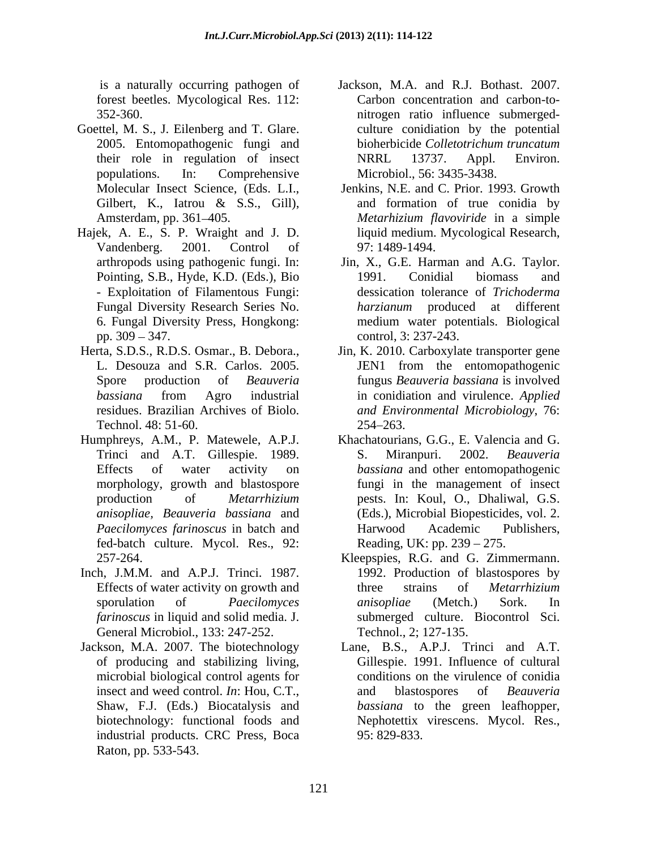forest beetles. Mycological Res. 112:

- Goettel, M. S., J. Eilenberg and T. Glare. Gilbert, K., Iatrou & S.S., Gill),
- Hajek, A. E., S. P. Wraight and J. D. liquid medium. Mycological Research,<br>Vandenberg. 2001. Control of 97: 1489-1494. - Exploitation of Filamentous Fungi:
- Technol. 48: 51-60. 254-263.
- Humphreys, A.M., P. Matewele, A.P.J. fed-batch culture. Mycol. Res., 92:
- Inch, J.M.M. and A.P.J. Trinci. 1987. General Microbiol., 133: 247-252.
- Jackson, M.A. 2007. The biotechnology Lane, B.S., A.P.J. Trinci and A.T. microbial biological control agents for industrial products. CRC Press, Boca Raton, pp. 533-543.
- is a naturally occurring pathogen of Jackson, M.A. and R.J. Bothast. 2007. 352-360. nitrogen ratio influence submerged- 2005. Entomopathogenic fungi and bioherbicide Colletotrichum truncatum their role in regulation of insect NRRL 13737. Appl. Environ. populations. In: Comprehensive Microbiol., 56: 3435-3438. Carbon concentration and carbon-to culture conidiation by the potential bioherbicide *Colletotrichum truncatum*  NRRL 13737. Appl. Environ.
	- Molecular Insect Science, (Eds. L.I., Jenkins, N.E. and C. Prior. 1993. Growth Amsterdam, pp. 361 405. *Metarhizium flavoviride* in a simple and formation of true conidia by liquid medium. Mycological Research, 97: 1489-1494.
	- arthropods using pathogenic fungi. In: Jin, X., G.E. Harman and A.G. Taylor. Pointing, S.B., Hyde, K.D. (Eds.), Bio 1991. Conidial biomass and Fungal Diversity Research Series No. *harzianum* produced at different 6. Fungal Diversity Press, Hongkong: medium water potentials. Biological pp. 309 – 347. control, 3: 237-243. 1991. Conidial biomass and dessication tolerance of *Trichoderma*
- Herta, S.D.S., R.D.S. Osmar., B. Debora., Jin, K. 2010. Carboxylate transporter gene L. Desouza and S.R. Carlos. 2005. JEN1 from the entomopathogenic Spore production of *Beauveria*  fungus *Beauveria bassiana* is involved *bassiana* from Agro industrial residues. Brazilian Archives of Biolo. *and Environmental Microbiology*, 76: in conidiation and virulence. *Applied*  254 263.
	- Trinci and A.T. Gillespie. 1989. S. Miranpuri. 2002. Beauveria Effects of water activity on *bassiana* and other entomopathogenic morphology, growth and blastospore fungi in the management of insect production of *Metarrhizium*  pests. In: Koul, O.,Dhaliwal, G.S. *anisopliae, Beauveria bassiana* and (Eds.), Microbial Biopesticides, vol. 2. *Paecilomyces farinoscus* in batch and Khachatourians, G.G., E. Valencia and G. S. Miranpuri. 2002. *Beauveria*  Harwood Academic Publishers, Reading, UK: pp.  $239 - 275$ .
	- 257-264. Kleepspies, R.G. and G. Zimmermann. Effects of water activity on growth and three strains of *Metarrhizium* sporulation of *Paecilomyces farinoscus* in liquid and solid media. J. submerged culture. Biocontrol Sci. 1992. Production of blastospores by three strains of *Metarrhizium anisopliae* (Metch.) Sork. In Technol., 2; 127-135.
	- of producing and stabilizing living, Gillespie. 1991. Influence of cultural insect and weed control. *In*: Hou, C.T., and blastospores of *Beauveria* Shaw, F.J. (Eds.) Biocatalysis and *bassiana* to the green leafhopper, biotechnology: functional foods and Nephotettix virescens. Mycol. Res., conditions on the virulence of conidia and blastospores of *Beauveria*  95: 829-833.